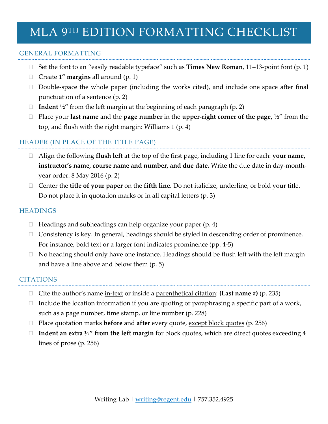# MLA 9TH EDITION FORMATTING CHECKLIST

### GENERAL FORMATTING

- Set the font to an "easily readable typeface" such as **Times New Roman**, 11–13-point font (p. 1)
- Create **1" margins** all around (p. 1)
- $\Box$  Double-space the whole paper (including the works cited), and include one space after final punctuation of a sentence (p. 2)
- **Indent ½"** from the left margin at the beginning of each paragraph (p. 2)
- Place your **last name** and the **page number** in the **upper-right corner of the page,** ½" from the top, and flush with the right margin: Williams 1 (p. 4)

## HEADER (IN PLACE OF THE TITLE PAGE)

- Align the following **flush left** at the top of the first page, including 1 line for each: **your name, instructor's name, course name and number, and due date.** Write the due date in day-monthyear order: 8 May 2016 (p. 2)
- Center the **title of your paper** on the **fifth line.** Do not italicize, underline, or bold your title. Do not place it in quotation marks or in all capital letters (p. 3)

#### **HEADINGS**

- $\Box$  Headings and subheadings can help organize your paper (p. 4)
- $\Box$  Consistency is key. In general, headings should be styled in descending order of prominence. For instance, bold text or a larger font indicates prominence (pp. 4-5)
- $\Box$  No heading should only have one instance. Headings should be flush left with the left margin and have a line above and below them (p. 5)

#### **CITATIONS**

- Cite the author's name in-text or inside a parenthetical citation: **(Last name #)** (p. 235)
- $\Box$  Include the location information if you are quoting or paraphrasing a specific part of a work, such as a page number, time stamp, or line number (p. 228)
- □ Place quotation marks **before** and **after** every quote, <u>except block quotes</u> (p. 256)
- **Indent an extra ½" from the left margin** for block quotes, which are direct quotes exceeding 4 lines of prose (p. 256)